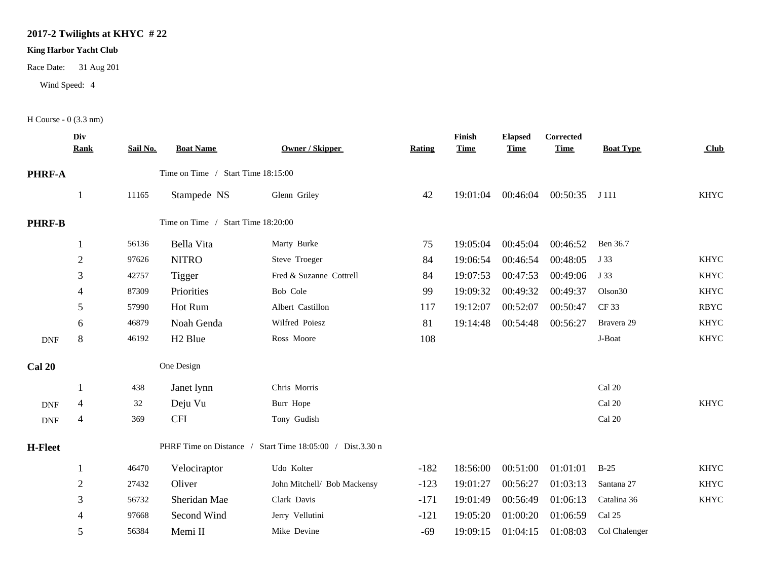## **2017-2 Twilights at KHYC # 22**

## **King Harbor Yacht Club**

Race Date: 31 Aug 201

Wind Speed: 4

H Course - 0 (3.3 nm)

|                             | Div<br><b>Rank</b>                                        | Sail No. | <b>Boat Name</b>                   | <b>Owner / Skipper</b>      | <b>Rating</b> | Finish<br><b>Time</b> | <b>Elapsed</b><br><b>Time</b> | <b>Corrected</b><br><b>Time</b> | <b>Boat Type</b>    | Club        |
|-----------------------------|-----------------------------------------------------------|----------|------------------------------------|-----------------------------|---------------|-----------------------|-------------------------------|---------------------------------|---------------------|-------------|
| <b>PHRF-A</b>               |                                                           |          | Time on Time / Start Time 18:15:00 |                             |               |                       |                               |                                 |                     |             |
|                             | $\mathbf{1}$                                              | 11165    | Stampede NS                        | Glenn Griley                | 42            | 19:01:04              | 00:46:04                      | 00:50:35 J 111                  |                     | <b>KHYC</b> |
| <b>PHRF-B</b>               |                                                           |          | Time on Time / Start Time 18:20:00 |                             |               |                       |                               |                                 |                     |             |
|                             | 1                                                         | 56136    | Bella Vita                         | Marty Burke                 | 75            | 19:05:04              | 00:45:04                      | 00:46:52                        | Ben 36.7            |             |
|                             | $\overline{2}$                                            | 97626    | <b>NITRO</b>                       | Steve Troeger               | 84            | 19:06:54              | 00:46:54                      | 00:48:05                        | J 33                | <b>KHYC</b> |
|                             | 3                                                         | 42757    | Tigger                             | Fred & Suzanne Cottrell     | 84            | 19:07:53              | 00:47:53                      | 00:49:06                        | J 33                | <b>KHYC</b> |
|                             | 4                                                         | 87309    | Priorities                         | Bob Cole                    | 99            | 19:09:32              | 00:49:32                      | 00:49:37                        | Olson <sub>30</sub> | <b>KHYC</b> |
|                             | 5                                                         | 57990    | Hot Rum                            | Albert Castillon            | 117           | 19:12:07              | 00:52:07                      | 00:50:47                        | CF 33               | <b>RBYC</b> |
|                             | 6                                                         | 46879    | Noah Genda                         | Wilfred Poiesz              | 81            | 19:14:48              | 00:54:48                      | 00:56:27                        | Bravera 29          | <b>KHYC</b> |
| <b>DNF</b>                  | $8\,$                                                     | 46192    | H <sub>2</sub> Blue                | Ross Moore                  | 108           |                       |                               |                                 | J-Boat              | <b>KHYC</b> |
| <b>Cal 20</b>               |                                                           |          | One Design                         |                             |               |                       |                               |                                 |                     |             |
|                             |                                                           | 438      | Janet lynn                         | Chris Morris                |               |                       |                               |                                 | Cal 20              |             |
| <b>DNF</b>                  | 4                                                         | 32       | Deju Vu                            | Burr Hope                   |               |                       |                               |                                 | Cal 20              | <b>KHYC</b> |
| $\ensuremath{\mathsf{DNF}}$ | $\overline{\mathcal{A}}$                                  | 369      | <b>CFI</b>                         | Tony Gudish                 |               |                       |                               |                                 | Cal 20              |             |
| <b>H-Fleet</b>              | PHRF Time on Distance / Start Time 18:05:00 / Dist.3.30 n |          |                                    |                             |               |                       |                               |                                 |                     |             |
|                             | -1                                                        | 46470    | Velociraptor                       | Udo Kolter                  | $-182$        | 18:56:00              | 00:51:00                      | 01:01:01                        | $B-25$              | <b>KHYC</b> |
|                             | $\sqrt{2}$                                                | 27432    | Oliver                             | John Mitchell/ Bob Mackensy | $-123$        | 19:01:27              | 00:56:27                      | 01:03:13                        | Santana 27          | <b>KHYC</b> |
|                             | 3                                                         | 56732    | Sheridan Mae                       | Clark Davis                 | $-171$        | 19:01:49              | 00:56:49                      | 01:06:13                        | Catalina 36         | <b>KHYC</b> |
|                             | 4                                                         | 97668    | Second Wind                        | Jerry Vellutini             | $-121$        | 19:05:20              | 01:00:20                      | 01:06:59                        | Cal 25              |             |
|                             | 5                                                         | 56384    | Memi II                            | Mike Devine                 | $-69$         | 19:09:15              | 01:04:15                      | 01:08:03                        | Col Chalenger       |             |